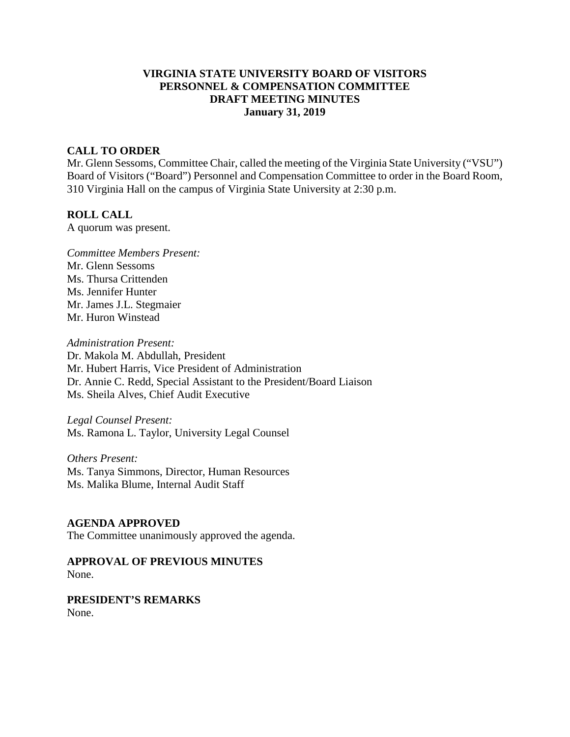# **VIRGINIA STATE UNIVERSITY BOARD OF VISITORS PERSONNEL & COMPENSATION COMMITTEE DRAFT MEETING MINUTES January 31, 2019**

### **CALL TO ORDER**

Mr. Glenn Sessoms, Committee Chair, called the meeting of the Virginia State University ("VSU") Board of Visitors ("Board") Personnel and Compensation Committee to order in the Board Room, 310 Virginia Hall on the campus of Virginia State University at 2:30 p.m.

#### **ROLL CALL**

A quorum was present.

*Committee Members Present:*  Mr. Glenn Sessoms Ms. Thursa Crittenden Ms. Jennifer Hunter Mr. James J.L. Stegmaier Mr. Huron Winstead

*Administration Present:*  Dr. Makola M. Abdullah, President Mr. Hubert Harris, Vice President of Administration Dr. Annie C. Redd, Special Assistant to the President/Board Liaison Ms. Sheila Alves, Chief Audit Executive

*Legal Counsel Present:*  Ms. Ramona L. Taylor, University Legal Counsel

*Others Present:* Ms. Tanya Simmons, Director, Human Resources Ms. Malika Blume, Internal Audit Staff

### **AGENDA APPROVED**

The Committee unanimously approved the agenda.

**APPROVAL OF PREVIOUS MINUTES** None.

**PRESIDENT'S REMARKS** None.